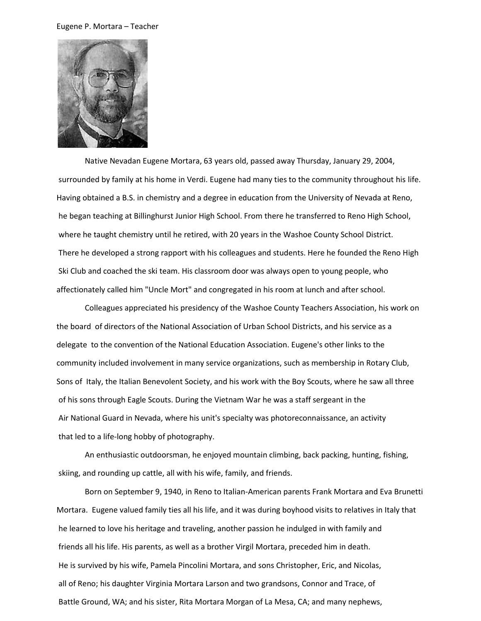## Eugene P. Mortara – Teacher



Native Nevadan Eugene Mortara, 63 years old, passed away Thursday, January 29, 2004, surrounded by family at his home in Verdi. Eugene had many ties to the community throughout his life. Having obtained a B.S. in chemistry and a degree in education from the University of Nevada at Reno, he began teaching at Billinghurst Junior High School. From there he transferred to Reno High School, where he taught chemistry until he retired, with 20 years in the Washoe County School District. There he developed a strong rapport with his colleagues and students. Here he founded the Reno High Ski Club and coached the ski team. His classroom door was always open to young people, who affectionately called him "Uncle Mort" and congregated in his room at lunch and after school.

Colleagues appreciated his presidency of the Washoe County Teachers Association, his work on the board of directors of the National Association of Urban School Districts, and his service as a delegate to the convention of the National Education Association. Eugene's other links to the community included involvement in many service organizations, such as membership in Rotary Club, Sons of Italy, the Italian Benevolent Society, and his work with the Boy Scouts, where he saw all three of his sons through Eagle Scouts. During the Vietnam War he was a staff sergeant in the Air National Guard in Nevada, where his unit's specialty was photoreconnaissance, an activity that led to a life-long hobby of photography.

An enthusiastic outdoorsman, he enjoyed mountain climbing, back packing, hunting, fishing, skiing, and rounding up cattle, all with his wife, family, and friends.

Born on September 9, 1940, in Reno to Italian-American parents Frank Mortara and Eva Brunetti Mortara. Eugene valued family ties all his life, and it was during boyhood visits to relatives in Italy that he learned to love his heritage and traveling, another passion he indulged in with family and friends all his life. His parents, as well as a brother Virgil Mortara, preceded him in death. He is survived by his wife, Pamela Pincolini Mortara, and sons Christopher, Eric, and Nicolas, all of Reno; his daughter Virginia Mortara Larson and two grandsons, Connor and Trace, of Battle Ground, WA; and his sister, Rita Mortara Morgan of La Mesa, CA; and many nephews,